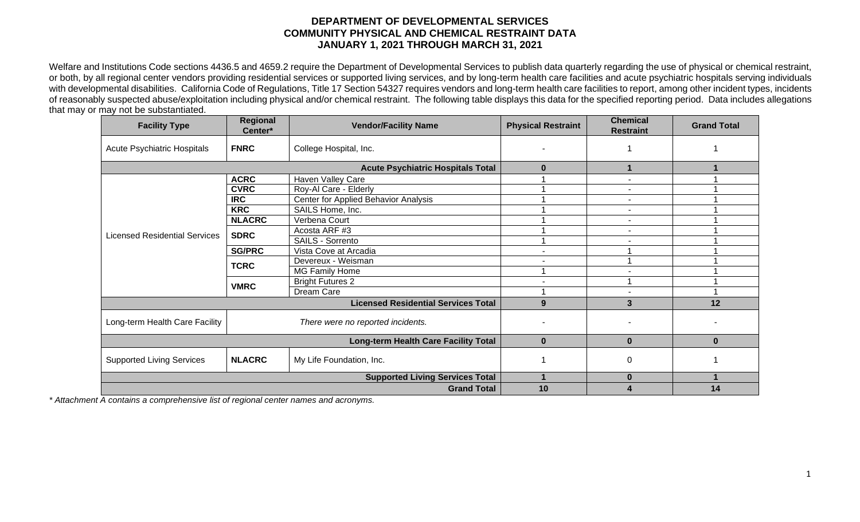## **DEPARTMENT OF DEVELOPMENTAL SERVICES COMMUNITY PHYSICAL AND CHEMICAL RESTRAINT DATA JANUARY 1, 2021 THROUGH MARCH 31, 2021**

Welfare and Institutions Code sections 4436.5 and 4659.2 require the Department of Developmental Services to publish data quarterly regarding the use of physical or chemical restraint, or both, by all regional center vendors providing residential services or supported living services, and by long-term health care facilities and acute psychiatric hospitals serving individuals with developmental disabilities. California Code of Regulations, Title 17 Section 54327 requires vendors and long-term health care facilities to report, among other incident types, incidents of reasonably suspected abuse/exploitation including physical and/or chemical restraint. The following table displays this data for the specified reporting period. Data includes allegations that may or may not be substantiated.

| <b>Facility Type</b>                       | Regional<br>Center*                      | <b>Vendor/Facility Name</b>          | <b>Physical Restraint</b> | <b>Chemical</b><br><b>Restraint</b> | <b>Grand Total</b> |
|--------------------------------------------|------------------------------------------|--------------------------------------|---------------------------|-------------------------------------|--------------------|
| Acute Psychiatric Hospitals                | <b>FNRC</b>                              | College Hospital, Inc.               |                           |                                     |                    |
|                                            | <b>Acute Psychiatric Hospitals Total</b> | $\bf{0}$                             |                           |                                     |                    |
| <b>Licensed Residential Services</b>       | <b>ACRC</b>                              | Haven Valley Care                    |                           |                                     |                    |
|                                            | <b>CVRC</b>                              | Roy-Al Care - Elderly                |                           |                                     |                    |
|                                            | <b>IRC</b>                               | Center for Applied Behavior Analysis |                           |                                     |                    |
|                                            | <b>KRC</b>                               | SAILS Home, Inc.                     |                           |                                     |                    |
|                                            | <b>NLACRC</b>                            | Verbena Court                        |                           |                                     |                    |
|                                            | <b>SDRC</b>                              | Acosta ARF #3                        |                           | $\blacksquare$                      |                    |
|                                            |                                          | SAILS - Sorrento                     |                           |                                     |                    |
|                                            | <b>SG/PRC</b>                            | Vista Cove at Arcadia                |                           |                                     |                    |
|                                            | <b>TCRC</b>                              | Devereux - Weisman                   |                           |                                     |                    |
|                                            |                                          | MG Family Home                       |                           |                                     |                    |
|                                            | <b>VMRC</b>                              | <b>Bright Futures 2</b>              |                           |                                     |                    |
|                                            |                                          | Dream Care                           |                           | $\blacksquare$                      |                    |
| <b>Licensed Residential Services Total</b> |                                          |                                      | 9                         | 3                                   | 12                 |
| Long-term Health Care Facility             |                                          | There were no reported incidents.    |                           |                                     |                    |
| Long-term Health Care Facility Total       |                                          |                                      | $\bf{0}$                  | $\bf{0}$                            | $\bf{0}$           |
| <b>Supported Living Services</b>           | <b>NLACRC</b>                            | My Life Foundation, Inc.             |                           | 0                                   |                    |
|                                            | <b>Supported Living Services Total</b>   |                                      | $\bf{0}$                  |                                     |                    |
|                                            | <b>Grand Total</b>                       | 10                                   |                           | 14                                  |                    |

*\* Attachment A contains a comprehensive list of regional center names and acronyms.*